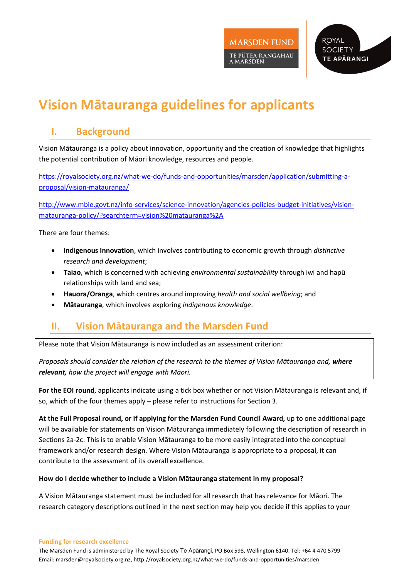

# **Vision Mātauranga guidelines for applicants**

## **I. Background**

Vision Mātauranga is a policy about innovation, opportunity and the creation of knowledge that highlights the potential contribution of Māori knowledge, resources and people.

[https://royalsociety.org.nz/what-we-do/funds-and-opportunities/marsden/application/submitting-a](https://royalsociety.org.nz/what-we-do/funds-and-opportunities/marsden/application/submitting-a-proposal/vision-matauranga/)[proposal/vision-matauranga/](https://royalsociety.org.nz/what-we-do/funds-and-opportunities/marsden/application/submitting-a-proposal/vision-matauranga/)

[http://www.mbie.govt.nz/info-services/science-innovation/agencies-policies-budget-initiatives/vision](http://www.mbie.govt.nz/info-services/science-innovation/agencies-policies-budget-initiatives/vision-matauranga-policy/?searchterm=vision%20matauranga%2A)[matauranga-policy/?searchterm=vision%20matauranga%2A](http://www.mbie.govt.nz/info-services/science-innovation/agencies-policies-budget-initiatives/vision-matauranga-policy/?searchterm=vision%20matauranga%2A)

There are four themes:

- **Indigenous Innovation**, which involves contributing to economic growth through *distinctive research and development*;
- **Taiao**, which is concerned with achieving *environmental sustainability* through iwi and hapū relationships with land and sea;
- **Hauora/Oranga**, which centres around improving *health and social wellbeing*; and
- **Mātauranga**, which involves exploring *indigenous knowledge*.

## **II. Vision Mātauranga and the Marsden Fund**

Please note that Vision Mātauranga is now included as an assessment criterion:

*Proposals should consider the relation of the research to the themes of Vision Mātauranga and, where relevant, how the project will engage with Māori.* 

**For the EOI round**, applicants indicate using a tick box whether or not Vision Mātauranga is relevant and, if so, which of the four themes apply – please refer to instructions for Section 3.

**At the Full Proposal round, or if applying for the Marsden Fund Council Award,** up to one additional page will be available for statements on Vision Mātauranga immediately following the description of research in Sections 2a-2c. This is to enable Vision Mātauranga to be more easily integrated into the conceptual framework and/or research design. Where Vision Mātauranga is appropriate to a proposal, it can contribute to the assessment of its overall excellence.

#### **How do I decide whether to include a Vision Mātauranga statement in my proposal?**

A Vision Mātauranga statement must be included for all research that has relevance for Māori. The research category descriptions outlined in the next section may help you decide if this applies to your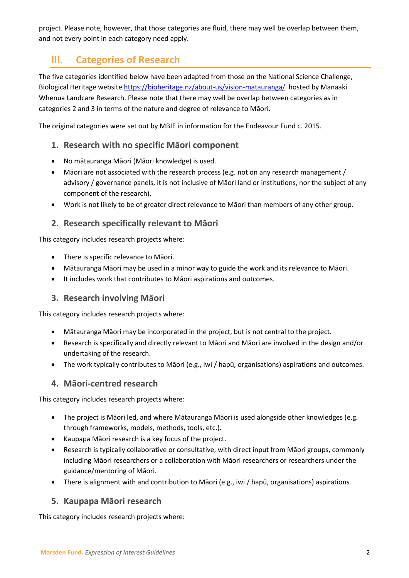project. Please note, however, that those categories are fluid, there may well be overlap between them, and not every point in each category need apply.

## **III. Categories of Research**

The five categories identified below have been adapted from those on the National Science Challenge, Biological Heritage website<https://bioheritage.nz/about-us/vision-matauranga/> hosted by Manaaki Whenua Landcare Research. Please note that there may well be overlap between categories as in categories 2 and 3 in terms of the nature and degree of relevance to Māori.

The original categories were set out by MBIE in information for the Endeavour Fund c. 2015.

### **1. Research with no specific Māori component**

- No mātauranga Māori (Māori knowledge) is used.
- Māori are not associated with the research process (e.g. not on any research management / advisory / governance panels, it is not inclusive of Māori land or institutions, nor the subject of any component of the research).
- Work is not likely to be of greater direct relevance to Māori than members of any other group.

### **2. Research specifically relevant to Māori**

This category includes research projects where:

- There is specific relevance to Māori.
- Mātauranga Māori may be used in a minor way to guide the work and its relevance to Māori.
- It includes work that contributes to Māori aspirations and outcomes.

#### **3. Research involving Māori**

This category includes research projects where:

- Mātauranga Māori may be incorporated in the project, but is not central to the project.
- Research is specifically and directly relevant to Māori and Māori are involved in the design and/or undertaking of the research.
- The work typically contributes to Māori (e.g., iwi / hapū, organisations) aspirations and outcomes.

#### **4. Māori-centred research**

This category includes research projects where:

- The project is Māori led, and where Mātauranga Māori is used alongside other knowledges (e.g. through frameworks, models, methods, tools, etc.).
- Kaupapa Māori research is a key focus of the project.
- Research is typically collaborative or consultative, with direct input from Māori groups, commonly including Māori researchers or a collaboration with Māori researchers or researchers under the guidance/mentoring of Māori.
- There is alignment with and contribution to Māori (e.g., iwi / hapū, organisations) aspirations.

#### **5. Kaupapa Māori research**

This category includes research projects where: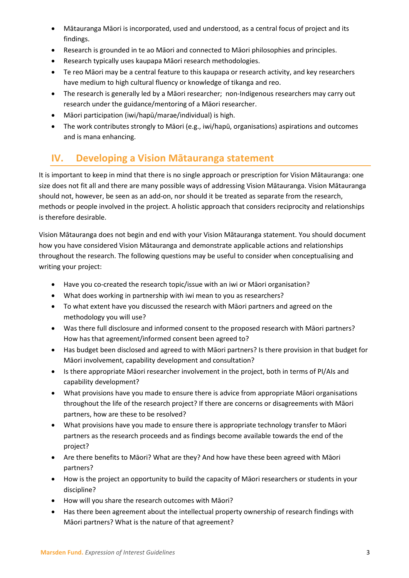- Mātauranga Māori is incorporated, used and understood, as a central focus of project and its findings.
- Research is grounded in te ao Māori and connected to Māori philosophies and principles.
- Research typically uses kaupapa Māori research methodologies.
- Te reo Māori may be a central feature to this kaupapa or research activity, and key researchers have medium to high cultural fluency or knowledge of tikanga and reo.
- The research is generally led by a Māori researcher; non-Indigenous researchers may carry out research under the guidance/mentoring of a Māori researcher.
- Māori participation (iwi/hapū/marae/individual) is high.
- The work contributes strongly to Māori (e.g., iwi/hapū, organisations) aspirations and outcomes and is mana enhancing.

## **IV. Developing a Vision Mātauranga statement**

It is important to keep in mind that there is no single approach or prescription for Vision Mātauranga: one size does not fit all and there are many possible ways of addressing Vision Mātauranga. Vision Mātauranga should not, however, be seen as an add-on, nor should it be treated as separate from the research, methods or people involved in the project. A holistic approach that considers reciprocity and relationships is therefore desirable.

Vision Mātauranga does not begin and end with your Vision Mātauranga statement. You should document how you have considered Vision Mātauranga and demonstrate applicable actions and relationships throughout the research. The following questions may be useful to consider when conceptualising and writing your project:

- Have you co-created the research topic/issue with an iwi or Māori organisation?
- What does working in partnership with iwi mean to you as researchers?
- To what extent have you discussed the research with Māori partners and agreed on the methodology you will use?
- Was there full disclosure and informed consent to the proposed research with Māori partners? How has that agreement/informed consent been agreed to?
- Has budget been disclosed and agreed to with Māori partners? Is there provision in that budget for Māori involvement, capability development and consultation?
- Is there appropriate Māori researcher involvement in the project, both in terms of PI/AIs and capability development?
- What provisions have you made to ensure there is advice from appropriate Māori organisations throughout the life of the research project? If there are concerns or disagreements with Māori partners, how are these to be resolved?
- What provisions have you made to ensure there is appropriate technology transfer to Māori partners as the research proceeds and as findings become available towards the end of the project?
- Are there benefits to Māori? What are they? And how have these been agreed with Māori partners?
- How is the project an opportunity to build the capacity of Māori researchers or students in your discipline?
- How will you share the research outcomes with Māori?
- Has there been agreement about the intellectual property ownership of research findings with Māori partners? What is the nature of that agreement?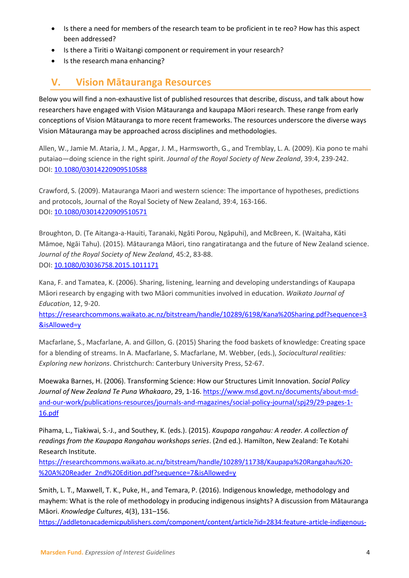- Is there a need for members of the research team to be proficient in te reo? How has this aspect been addressed?
- Is there a Tiriti o Waitangi component or requirement in your research?
- Is the research mana enhancing?

## **V. Vision Mātauranga Resources**

Below you will find a non-exhaustive list of published resources that describe, discuss, and talk about how researchers have engaged with Vision Mātauranga and kaupapa Māori research. These range from early conceptions of Vision Mātauranga to more recent frameworks. The resources underscore the diverse ways Vision Mātauranga may be approached across disciplines and methodologies.

Allen, W., Jamie M. Ataria, J. M., Apgar, J. M., Harmsworth, G., and Tremblay, L. A. (2009). Kia pono te mahi putaiao—doing science in the right spirit. *Journal of the Royal Society of New Zealand*, 39:4, 239-242. DOI: [10.1080/03014220909510588](https://doi.org/10.1080/03014220909510588)

Crawford, S. (2009). Matauranga Maori and western science: The importance of hypotheses, predictions and protocols, Journal of the Royal Society of New Zealand, 39:4, 163-166. DOI: [10.1080/03014220909510571](https://doi.org/10.1080/03014220909510571)

Broughton, D. (Te Aitanga-a-Hauiti, Taranaki, Ngāti Porou, Ngāpuhi), and McBreen, K. (Waitaha, Kāti Māmoe, Ngāi Tahu). (2015). Mātauranga Māori, tino rangatiratanga and the future of New Zealand science. *Journal of the Royal Society of New Zealand*, 45:2, 83-88. DOI: [10.1080/03036758.2015.1011171](https://doi.org/10.1080/03036758.2015.1011171)

Kana, F. and Tamatea, K. (2006). Sharing, listening, learning and developing understandings of Kaupapa Māori research by engaging with two Māori communities involved in education. *Waikato Journal of Education*, 12, 9-20.

[https://researchcommons.waikato.ac.nz/bitstream/handle/10289/6198/Kana%20Sharing.pdf?sequence=3](https://researchcommons.waikato.ac.nz/bitstream/handle/10289/6198/Kana%20Sharing.pdf?sequence=3&isAllowed=y) [&isAllowed=y](https://researchcommons.waikato.ac.nz/bitstream/handle/10289/6198/Kana%20Sharing.pdf?sequence=3&isAllowed=y)

Macfarlane, S., Macfarlane, A. and Gillon, G. (2015) Sharing the food baskets of knowledge: Creating space for a blending of streams. In A. Macfarlane, S. Macfarlane, M. Webber, (eds.), *Sociocultural realities: Exploring new horizons*. Christchurch: Canterbury University Press, 52-67.

Moewaka Barnes, H. (2006). Transforming Science: How our Structures Limit Innovation. *Social Policy Journal of New Zealand Te Puna Whakaaro*, 29, 1-16. [https://www.msd.govt.nz/documents/about-msd](https://www.msd.govt.nz/documents/about-msd-and-our-work/publications-resources/journals-and-magazines/social-policy-journal/spj29/29-pages-1-16.pdf)[and-our-work/publications-resources/journals-and-magazines/social-policy-journal/spj29/29-pages-1-](https://www.msd.govt.nz/documents/about-msd-and-our-work/publications-resources/journals-and-magazines/social-policy-journal/spj29/29-pages-1-16.pdf) [16.pdf](https://www.msd.govt.nz/documents/about-msd-and-our-work/publications-resources/journals-and-magazines/social-policy-journal/spj29/29-pages-1-16.pdf)

Pihama, L., Tiakiwai, S.-J., and Southey, K. (eds.). (2015). *Kaupapa rangahau: A reader. A collection of readings from the Kaupapa Rangahau workshops series*. (2nd ed.). Hamilton, New Zealand: Te Kotahi Research Institute.

[https://researchcommons.waikato.ac.nz/bitstream/handle/10289/11738/Kaupapa%20Rangahau%20-](https://researchcommons.waikato.ac.nz/bitstream/handle/10289/11738/Kaupapa%20Rangahau%20-%20A%20Reader_2nd%20Edition.pdf?sequence=7&isAllowed=y) [%20A%20Reader\\_2nd%20Edition.pdf?sequence=7&isAllowed=y](https://researchcommons.waikato.ac.nz/bitstream/handle/10289/11738/Kaupapa%20Rangahau%20-%20A%20Reader_2nd%20Edition.pdf?sequence=7&isAllowed=y)

Smith, L. T., Maxwell, T. K., Puke, H., and Temara, P. (2016). Indigenous knowledge, methodology and mayhem: What is the role of methodology in producing indigenous insights? A discussion from Mātauranga Māori. *Knowledge Cultures*, 4(3), 131–156.

[https://addletonacademicpublishers.com/component/content/article?id=2834:feature-article-indigenous-](https://addletonacademicpublishers.com/component/content/article?id=2834:feature-article-indigenous-knowledge-methodology-and-mayhem-what-is-the-role-of-methodology-in-producing-indigenous-insights-a-discussion-from-matauranga-maori)